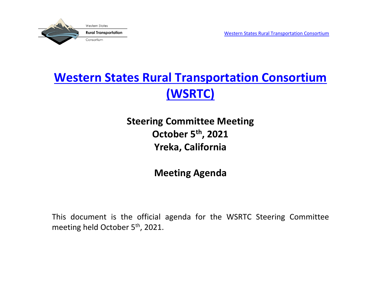

# **[Western States Rural Transportation Consortium](http://www.westernstates.org/) [\(WSRTC\)](http://www.westernstates.org/)**

## **Steering Committee Meeting October 5th , 2021 Yreka, California**

### **Meeting Agenda**

This document is the official agenda for the WSRTC Steering Committee meeting held October 5<sup>th</sup>, 2021.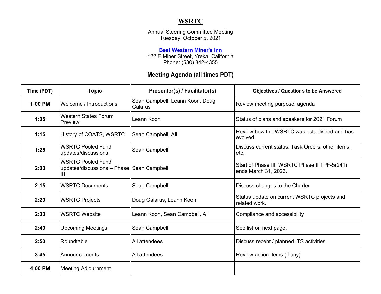#### **WSRTC**

Annual Steering Committee Meeting Tuesday, October 5, 2021

#### **[Best Western Miner's Inn](http://bestwesterncalifornia.com/hotels/best-western-miners-inn)**

122 E Miner Street, Yreka, California Phone: (530) 842-4355

#### **Meeting Agenda (all times PDT)**

| Time (PDT) | <b>Topic</b>                                                               | Presenter(s) / Facilitator(s)              | <b>Objectives / Questions to be Answered</b>                          |
|------------|----------------------------------------------------------------------------|--------------------------------------------|-----------------------------------------------------------------------|
| 1:00 PM    | Welcome / Introductions                                                    | Sean Campbell, Leann Koon, Doug<br>Galarus | Review meeting purpose, agenda                                        |
| 1:05       | <b>Western States Forum</b><br>Preview                                     | Leann Koon                                 | Status of plans and speakers for 2021 Forum                           |
| 1:15       | History of COATS, WSRTC                                                    | Sean Campbell, All                         | Review how the WSRTC was established and has<br>evolved.              |
| 1:25       | <b>WSRTC Pooled Fund</b><br>updates/discussions                            | Sean Campbell                              | Discuss current status, Task Orders, other items,<br>etc.             |
| 2:00       | <b>WSRTC Pooled Fund</b><br>updates/discussions - Phase Sean Campbell<br>Ш |                                            | Start of Phase III; WSRTC Phase II TPF-5(241)<br>ends March 31, 2023. |
| 2:15       | <b>WSRTC Documents</b>                                                     | Sean Campbell                              | Discuss changes to the Charter                                        |
| 2:20       | <b>WSRTC Projects</b>                                                      | Doug Galarus, Leann Koon                   | Status update on current WSRTC projects and<br>related work.          |
| 2:30       | <b>WSRTC Website</b>                                                       | Leann Koon, Sean Campbell, All             | Compliance and accessibility                                          |
| 2:40       | <b>Upcoming Meetings</b>                                                   | Sean Campbell                              | See list on next page.                                                |
| 2:50       | Roundtable                                                                 | All attendees                              | Discuss recent / planned ITS activities                               |
| 3:45       | Announcements                                                              | All attendees                              | Review action items (if any)                                          |
| 4:00 PM    | <b>Meeting Adjournment</b>                                                 |                                            |                                                                       |